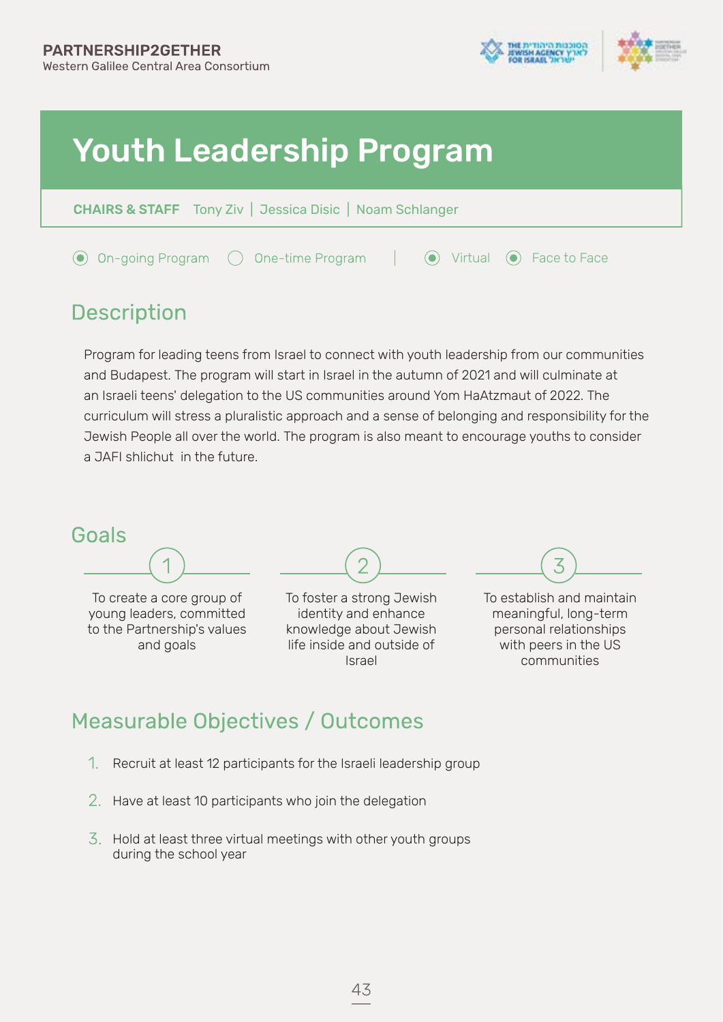

 $\odot$  Virtual  $\odot$  Face to Face

# Youth Leadership Program

One-time Program

| <b>CHAIRS &amp; STAFF</b> Tony Ziv   Jessica Disic   Noam Schlanger |  |
|---------------------------------------------------------------------|--|
|                                                                     |  |

### **Description**

◯ On-going Program

Program for leading teens from Israel to connect with youth leadership from our communities and Budapest. The program will start in Israel in the autumn of 2021 and will culminate at an Israeli teens' delegation to the US communities around Yom HaAtzmaut of 2022. The curriculum will stress a pluralistic approach and a sense of belonging and responsibility for the Jewish People all over the world. The program is also meant to encourage youths to consider a JAFI shlichut in the future.



young leaders, committed to the Partnership's values and goals

identity and enhance knowledge about Jewish life inside and outside of Israel

meaningful, long-term personal relationships with peers in the US communities

### **Measurable Objectives / Outcomes**

- 1. Recruit at least 12 participants for the Israeli leadership group
- 2. Have at least 10 participants who join the delegation
- $\overline{3}$ . Hold at least three virtual meetings with other youth groups during the school year